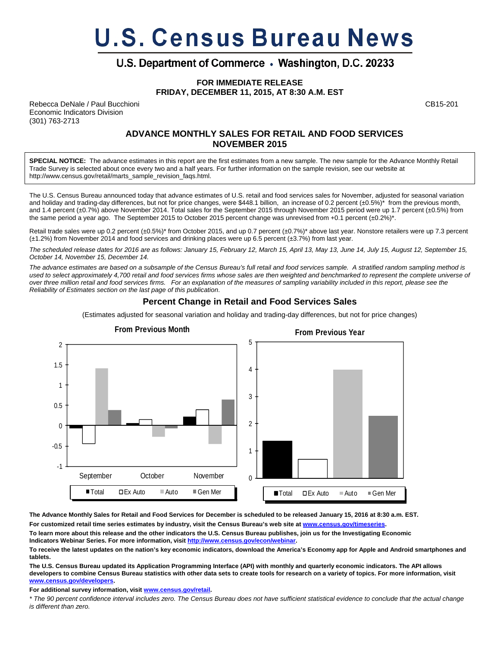# **U.S. Census Bureau News**

# U.S. Department of Commerce . Washington, D.C. 20233

**FOR IMMEDIATE RELEASE FRIDAY, DECEMBER 11, 2015, AT 8:30 A.M. EST**

Rebecca DeNale / Paul Bucchioni CB15-201 Economic Indicators Division (301) 763-2713

### **ADVANCE MONTHLY SALES FOR RETAIL AND FOOD SERVICES NOVEMBER 2015**

**SPECIAL NOTICE:** The advance estimates in this report are the first estimates from a new sample. The new sample for the Advance Monthly Retail Trade Survey is selected about once every two and a half years. For further information on the sample revision, see our website at http://www.census.gov/retail/marts\_sample\_revision\_faqs.html.

The U.S. Census Bureau announced today that advance estimates of U.S. retail and food services sales for November, adjusted for seasonal variation and holiday and trading-day differences, but not for price changes, were \$448.1 billion, an increase of 0.2 percent (±0.5%)\* from the previous month, and 1.4 percent (±0.7%) above November 2014. Total sales for the September 2015 through November 2015 period were up 1.7 percent (±0.5%) from the same period a year ago. The September 2015 to October 2015 percent change was unrevised from +0.1 percent  $(\pm 0.2\%)^*$ .

Retail trade sales were up 0.2 percent (±0.5%)\* from October 2015, and up 0.7 percent (±0.7%)\* above last year. Nonstore retailers were up 7.3 percent (±1.2%) from November 2014 and food services and drinking places were up 6.5 percent (±3.7%) from last year.

*The scheduled release dates for 2016 are as follows: January 15, February 12, March 15, April 13, May 13, June 14, July 15, August 12, September 15, October 14, November 15, December 14.* 

*The advance estimates are based on a subsample of the Census Bureau's full retail and food services sample. A stratified random sampling method is*  used to select approximately 4,700 retail and food services firms whose sales are then weighted and benchmarked to represent the complete universe of *over three million retail and food services firms. For an explanation of the measures of sampling variability included in this report, please see the Reliability of Estimates section on the last page of this publication*.

## **Percent Change in Retail and Food Services Sales**

(Estimates adjusted for seasonal variation and holiday and trading-day differences, but not for price changes)



**The Advance Monthly Sales for Retail and Food Services for December is scheduled to be released January 15, 2016 at 8:30 a.m. EST.** 

**For customized retail time series estimates by industry, visit the Census Bureau's web site at www.census.gov/timeseries.** 

**To learn more about this release and the other indicators the U.S. Census Bureau publishes, join us for the Investigating Economic Indicators Webinar Series. For more information, visit http://www.census.gov/econ/webinar.** 

**To receive the latest updates on the nation's key economic indicators, download the America's Economy app for Apple and Android smartphones and tablets.** 

**The U.S. Census Bureau updated its Application Programming Interface (API) with monthly and quarterly economic indicators. The API allows developers to combine Census Bureau statistics with other data sets to create tools for research on a variety of topics. For more information, visit www.census.gov/developers.** 

**For additional survey information, visit www.census.gov/retail.** 

*\* The 90 percent confidence interval includes zero. The Census Bureau does not have sufficient statistical evidence to conclude that the actual change is different than zero.*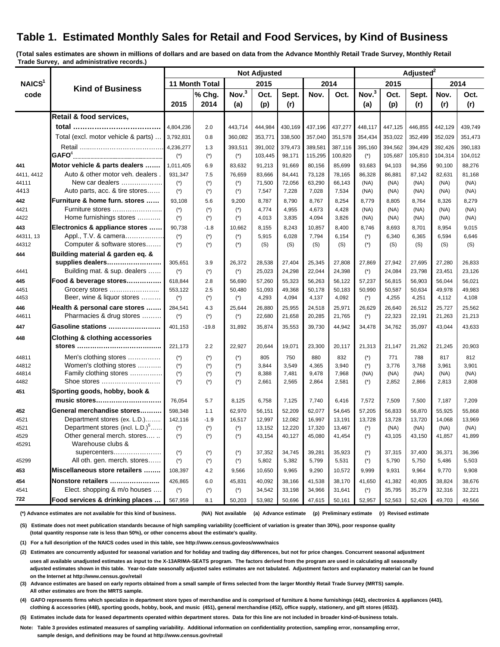# **Table 1. Estimated Monthly Sales for Retail and Food Services, by Kind of Business**

**(Total sales estimates are shown in millions of dollars and are based on data from the Advance Monthly Retail Trade Survey, Monthly Retail Trade Survey, and administrative records.)**

|                            | <b>Kind of Business</b>                                   | <b>Not Adjusted</b>   |                                |                 |                  |                  |                  |                  | Adjusted <sup>2</sup> |                  |                  |                  |                  |
|----------------------------|-----------------------------------------------------------|-----------------------|--------------------------------|-----------------|------------------|------------------|------------------|------------------|-----------------------|------------------|------------------|------------------|------------------|
| NAICS <sup>1</sup><br>code |                                                           | 11 Month Total        |                                | 2015            |                  | 2014             |                  | 2015             |                       | 2014             |                  |                  |                  |
|                            |                                                           |                       | % Chg.                         | Nov. $3$        | Oct.             | Sept.            | Nov.             | Oct.             | Nov. $3$              | Oct.             | Sept.            | Nov.             | Oct.             |
|                            |                                                           | 2015                  | 2014                           | (a)             | (p)              | (r)              |                  |                  | (a)                   | (p)              | (r)              | (r)              | (r)              |
|                            | Retail & food services,                                   |                       |                                |                 |                  |                  |                  |                  |                       |                  |                  |                  |                  |
|                            |                                                           | 4,804,236             | 2.0                            | 443,714         | 444,984          | 430,169          | 437,196          | 437,277          | 448,117               | 447,125          | 446,855          | 442,129          | 439,749          |
|                            | Total (excl. motor vehicle & parts)                       | 3,792,831             | 0.8                            | 360,082         | 353,771          | 338,500          | 357,040          | 351,578          | 354,434               | 353,022          | 352,499          | 352,029          | 351,473          |
|                            |                                                           | 4,236,277             | 1.3                            | 393,511         | 391.002          | 379,473          | 389.581          | 387,116          | 395,160               | 394,562          | 394,429          | 392,426          | 390,183          |
|                            | $\mathsf{GAFO}^4$                                         | $(*)$                 | $(*)$                          | $(*)$           | 103,445          | 98,171           | 115,295          | 100,820          | $(*)$                 | 105,687          | 105,810          | 104,314          | 104,012          |
| 441                        | Motor vehicle & parts dealers                             | 1,011,405             | 6.9                            | 83,632          | 91,213           | 91,669           | 80,156           | 85,699           | 93,683                | 94.103           | 94,356           | 90,100           | 88,276           |
| 4411, 4412                 | Auto & other motor veh. dealers.                          | 931.347               | 7.5                            | 76,659          | 83,666           | 84,441           | 73,128           | 78,165           | 86,328                | 86,881           | 87,142           | 82,631           | 81,168           |
| 44111                      | New car dealers                                           | $(*)$                 | $(*)$                          | $(*)$           | 71,500           | 72,056           | 63,290           | 66,143           | (NA)                  | (NA)             | (NA)             | (NA)             | (NA)             |
| 4413                       | Auto parts, acc. & tire stores                            | $(*)$                 | $(*)$                          | $(*)$           | 7,547            | 7,228            | 7,028            | 7,534            | (NA)                  | (NA)             | (NA)             | (NA)             | (NA)             |
| 442                        | Furniture & home furn. stores                             | 93,108                | 5.6                            | 9,200           | 8,787            | 8,790            | 8,767            | 8,254            | 8,779                 | 8,805            | 8,764            | 8,326            | 8,279            |
| 4421                       | Furniture stores                                          | $(\dot{z})$           | $(*)$                          | $(*)$           | 4,774            | 4,955            | 4,673            | 4,428            | (NA)                  | (NA)             | (NA)             | (NA)             | (NA)             |
| 4422                       | Home furnishings stores                                   | $(*)$                 | $(*)$                          | $(*)$           | 4,013            | 3,835            | 4,094            | 3,826            | (NA)                  | (NA)             | (NA)             | (NA)             | (NA)             |
| 443                        | Electronics & appliance stores                            | 90,738                | $-1.8$                         | 10,662          | 8,155            | 8,243            | 10,857           | 8,400            | 8,746                 | 8,693            | 8,701            | 8,954            | 9,015            |
| 44311, 13                  | Appl., T.V. & camera                                      | $(\dot{\phantom{a}})$ | $(*)$                          | $(*)$           | 5,915            | 6,028            | 7,794            | 6,154            | $(*)$                 | 6,340            | 6,365            | 6,594            | 6,646            |
| 44312                      | Computer & software stores                                | $(*)$                 | $(*)$                          | $(*)$           | (S)              | (S)              | (S)              | (S)              | $(*)$                 | (S)              | (S)              | (S)              | (S)              |
| 444                        | Building material & garden eq. &                          |                       |                                |                 |                  |                  |                  |                  |                       |                  |                  |                  |                  |
|                            | supplies dealers                                          | 305,651               | 3.9                            | 26,372          | 28,538           | 27,404           | 25,345           | 27,808           | 27,869                | 27,942           | 27,695           | 27,280           | 26,833           |
| 4441                       | Building mat. & sup. dealers                              | $(*)$                 | $(*)$                          | $(*)$           | 25,023           | 24,298           | 22,044           | 24,398           | $(*)$                 | 24,084           | 23,798           | 23,451           | 23,126           |
| 445                        | Food & beverage stores                                    | 618.844               | 2.8                            | 56,690          | 57,260           | 55,323           | 56,263           | 56,122           | 57,237                | 56,815           | 56,903           | 56,044           | 56,021           |
| 4451<br>4453               | Grocery stores<br>Beer, wine & liquor stores              | 553,122<br>$(*)$      | 2.5<br>$(*)$                   | 50,480<br>$(*)$ | 51,093<br>4,293  | 49,368<br>4,094  | 50,178<br>4,137  | 50,183<br>4,092  | 50,990<br>$(*)$       | 50,587<br>4,255  | 50,634<br>4,251  | 49,978<br>4,112  | 49,983<br>4,108  |
|                            |                                                           |                       |                                |                 |                  |                  |                  |                  |                       |                  |                  |                  |                  |
| 446<br>44611               | Health & personal care stores<br>Pharmacies & drug stores | 284,541<br>$(*)$      | 4.3<br>$(*)$                   | 25,644<br>$(*)$ | 26,880<br>22,680 | 25,955<br>21,658 | 24,518<br>20,285 | 25,971<br>21,765 | 26,629<br>$(*)$       | 26,640<br>22,323 | 26,512<br>22,191 | 25,727<br>21,263 | 25,562<br>21,213 |
|                            | Gasoline stations                                         | 401,153               |                                |                 |                  |                  |                  |                  |                       |                  |                  |                  |                  |
| 447                        |                                                           |                       | $-19.8$                        | 31,892          | 35,874           | 35,553           | 39,730           | 44,942           | 34,478                | 34,762           | 35,097           | 43,044           | 43,633           |
| 448                        | <b>Clothing &amp; clothing accessories</b>                | 221,173               | 2.2                            | 22,927          | 20,644           | 19,071           | 23,300           | 20,117           | 21,313                | 21,147           | 21,262           | 21,245           | 20,903           |
|                            |                                                           |                       |                                |                 |                  |                  |                  |                  |                       |                  |                  |                  |                  |
| 44811<br>44812             | Men's clothing stores<br>Women's clothing stores          | $(*)$                 | $(*)$                          | $(*)$           | 805<br>3,844     | 750<br>3,549     | 880<br>4,365     | 832<br>3,940     | $(*)$<br>$(*)$        | 771<br>3,776     | 788<br>3,768     | 817<br>3,961     | 812<br>3,901     |
| 44814                      | Family clothing stores                                    | $(*)$<br>$(*)$        | $(*)$<br>$(\dot{\phantom{a}})$ | $(*)$<br>$(*)$  | 8,388            | 7,481            | 9,478            | 7,968            | (NA)                  | (NA)             | (NA)             | (NA)             | (NA)             |
| 4482                       | Shoe stores                                               | $(*)$                 | $(*)$                          | $(*)$           | 2,661            | 2,565            | 2,864            | 2,581            | $(*)$                 | 2,852            | 2,866            | 2,813            | 2,808            |
| 451                        | Sporting goods, hobby, book &                             |                       |                                |                 |                  |                  |                  |                  |                       |                  |                  |                  |                  |
|                            | music stores                                              | 76,054                | 5.7                            | 8,125           | 6,758            | 7,125            | 7,740            | 6,416            | 7,572                 | 7,509            | 7,500            | 7,187            | 7,209            |
| 452                        | General merchandise stores……….                            | 598,348               | 1.1                            | 62,970          | 56,151           | 52,209           | 62,077           | 54,645           | 57,205                | 56,833           | 56,870           | 55,925           | 55,868           |
| 4521                       | Department stores (ex. L.D.)                              | 142,116               | $-1.9$                         | 16,517          | 12,997           | 12,082           | 16,997           | 13,191           | 13,728                | 13,728           | 13,720           | 14,068           | 13,969           |
| 4521                       | Department stores (incl. L.D.) <sup>5</sup>               | $(*)$                 | $(*)$                          | $(*)$           | 13,152           | 12,220           | 17,320           | 13,467           | $(*)$                 | (NA)             | (NA)             | (NA)             | (NA)             |
| 4529                       | Other general merch. stores                               | $(\dot{\phantom{a}})$ | $(\dot{\phantom{a}})$          | $(*)$           | 43,154           | 40,127           | 45,080           | 41,454           | $(*)$                 | 43,105           | 43,150           | 41,857           | 41,899           |
| 45291                      | Warehouse clubs &                                         |                       |                                |                 |                  |                  |                  |                  |                       |                  |                  |                  |                  |
|                            | supercenters                                              | $(*)$                 | $(*)$                          | $(*)$           | 37,352           | 34,745           | 39,281           | 35,923           | $(*)$                 | 37,315           | 37,400           | 36,371           | 36,396           |
| 45299                      | All oth. gen. merch. stores                               | $(*)$                 | $(*)$                          | $(*)$           | 5,802            | 5,382            | 5,799            | 5,531            | $(\dot{\phantom{a}})$ | 5,790            | 5,750            | 5,486            | 5,503            |
| 453                        | Miscellaneous store retailers                             | 108,397               | 4.2                            | 9,566           | 10,650           | 9,965            | 9,290            | 10,572           | 9,999                 | 9,931            | 9,964            | 9,770            | 9,908            |
| 454                        | Nonstore retailers                                        | 426,865               | 6.0                            | 45,831          | 40,092           | 38,166           | 41,538           | 38,170           | 41,650                | 41,382           | 40,805           | 38,824           | 38,676           |
| 4541                       | Elect. shopping & m/o houses                              | $(*)$                 | $(\dot{\phantom{a}})$          | $(*)$           | 34,542           | 33,198           | 34,966           | 31,641           | $(*)$                 | 35,795           | 35,279           | 32,316           | 32,221           |
| 722                        | Food services & drinking places                           | 567,959               | 8.1                            | 50,203          | 53,982           | 50,696           | 47,615           | 50,161           | 52,957                | 52,563           | 52,426           | 49,703           | 49,566           |

 **(\*) Advance estimates are not available for this kind of business.**

 **(NA) Not available (a) Advance estimate (p) Preliminary estimate (r) Revised estimate**

 **(S) Estimate does not meet publication standards because of high sampling variability (coefficient of variation is greater than 30%), poor response quality (total quantity response rate is less than 50%), or other concerns about the estimate's quality.**

 **(1) For a full description of the NAICS codes used in this table, see http://www.census.gov/eos/www/naics**

 **(2) Estimates are concurrently adjusted for seasonal variation and for holiday and trading day differences, but not for price changes. Concurrent seasonal adjustment uses all available unadjusted estimates as input to the X-13ARIMA-SEATS program. The factors derived from the program are used in calculating all seasonally adjusted estimates shown in this table. Year-to-date seasonally adjusted sales estimates are not tabulated. Adjustment factors and explanatory material can be found on the Internet at http://www.census.gov/retail**

 **(3) Advance estimates are based on early reports obtained from a small sample of firms selected from the larger Monthly Retail Trade Survey (MRTS) sample. All other estimates are from the MRTS sample.**

 **(4) GAFO represents firms which specialize in department store types of merchandise and is comprised of furniture & home furnishings (442), electronics & appliances (443), clothing & accessories (448), sporting goods, hobby, book, and music (451), general merchandise (452), office supply, stationery, and gift stores (4532).**

 **(5) Estimates include data for leased departments operated within department stores. Data for this line are not included in broader kind-of-business totals.**

 **Note: Table 3 provides estimated measures of sampling variability. Additional information on confidentiality protection, sampling error, nonsampling error, sample design, and definitions may be found at http://www.census.gov/retail**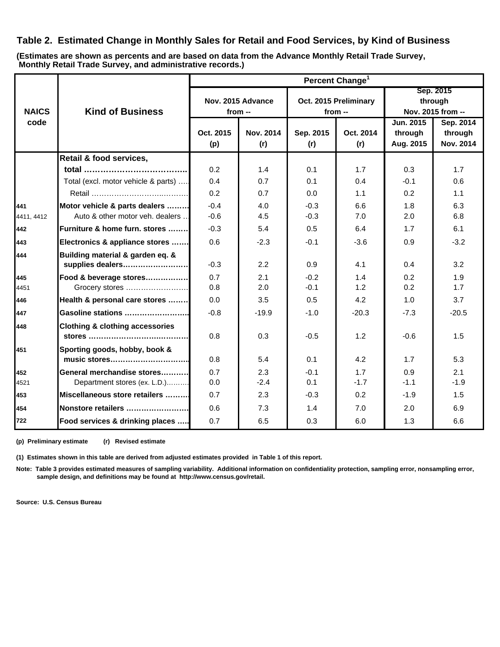## **Table 2. Estimated Change in Monthly Sales for Retail and Food Services, by Kind of Business**

**Monthly Retail Trade Survey, and administrative records.) (Estimates are shown as percents and are based on data from the Advance Monthly Retail Trade Survey,**

|              |                                                            | Percent Change <sup>1</sup> |                               |                  |                       |                                           |                                   |  |  |  |
|--------------|------------------------------------------------------------|-----------------------------|-------------------------------|------------------|-----------------------|-------------------------------------------|-----------------------------------|--|--|--|
| <b>NAICS</b> | <b>Kind of Business</b>                                    |                             | Nov. 2015 Advance<br>$from -$ | from $-$         | Oct. 2015 Preliminary | Sep. 2015<br>through<br>Nov. 2015 from -- |                                   |  |  |  |
| code         |                                                            | Oct. 2015<br>(p)            | Nov. 2014<br>(r)              | Sep. 2015<br>(r) | Oct. 2014<br>(r)      | Jun. 2015<br>through<br>Aug. 2015         | Sep. 2014<br>through<br>Nov. 2014 |  |  |  |
|              | Retail & food services,                                    |                             |                               |                  |                       |                                           |                                   |  |  |  |
|              |                                                            | 0.2                         | 1.4                           | 0.1              | 1.7                   | 0.3                                       | 1.7                               |  |  |  |
|              | Total (excl. motor vehicle & parts)                        | 0.4                         | 0.7                           | 0.1              | 0.4                   | $-0.1$                                    | 0.6                               |  |  |  |
|              |                                                            | 0.2                         | 0.7                           | 0.0              | 1.1                   | 0.2                                       | 1.1                               |  |  |  |
| 441          | Motor vehicle & parts dealers                              | $-0.4$                      | 4.0                           | $-0.3$           | 6.6                   | 1.8                                       | 6.3                               |  |  |  |
| 4411.4412    | Auto & other motor veh. dealers                            | $-0.6$                      | 4.5                           | $-0.3$           | 7.0                   | 2.0                                       | 6.8                               |  |  |  |
| 442          | Furniture & home furn. stores                              | $-0.3$                      | 5.4                           | 0.5              | 6.4                   | 1.7                                       | 6.1                               |  |  |  |
| 443          | Electronics & appliance stores                             | 0.6                         | $-2.3$                        | $-0.1$           | $-3.6$                | 0.9                                       | $-3.2$                            |  |  |  |
| 444          | Building material & garden eq. &<br>supplies dealers       | $-0.3$                      | 2.2                           | 0.9              | 4.1                   | 0.4                                       | 3.2                               |  |  |  |
| 445<br>4451  | Food & beverage stores<br>Grocery stores                   | 0.7<br>0.8                  | 2.1<br>2.0                    | $-0.2$<br>$-0.1$ | 1.4<br>1.2            | 0.2<br>0.2                                | 1.9<br>1.7                        |  |  |  |
| 446          | Health & personal care stores                              | 0.0                         | 3.5                           | 0.5              | 4.2                   | 1.0                                       | 3.7                               |  |  |  |
| 447          | Gasoline stations                                          | $-0.8$                      | $-19.9$                       | $-1.0$           | $-20.3$               | $-7.3$                                    | $-20.5$                           |  |  |  |
| 448          | <b>Clothing &amp; clothing accessories</b>                 | 0.8                         | 0.3                           | $-0.5$           | 1.2                   | $-0.6$                                    | 1.5                               |  |  |  |
| 451          | Sporting goods, hobby, book &<br>music stores              | 0.8                         | 5.4                           | 0.1              | 4.2                   | 1.7                                       | 5.3                               |  |  |  |
| 452<br>4521  | General merchandise stores<br>Department stores (ex. L.D.) | 0.7<br>0.0                  | 2.3<br>$-2.4$                 | $-0.1$<br>0.1    | 1.7<br>$-1.7$         | 0.9<br>$-1.1$                             | 2.1<br>$-1.9$                     |  |  |  |
| 453          | Miscellaneous store retailers                              | 0.7                         | 2.3                           | $-0.3$           | 0.2                   | $-1.9$                                    | 1.5                               |  |  |  |
| 454          | Nonstore retailers                                         | 0.6                         | 7.3                           | 1.4              | 7.0                   | 2.0                                       | 6.9                               |  |  |  |
| 722          | Food services & drinking places                            | 0.7                         | 6.5                           | 0.3              | 6.0                   | 1.3                                       | 6.6                               |  |  |  |

**(p) Preliminary estimate (r) Revised estimate**

**(1) Estimates shown in this table are derived from adjusted estimates provided in Table 1 of this report.**

**Note: Table 3 provides estimated measures of sampling variability. Additional information on confidentiality protection, sampling error, nonsampling error, sample design, and definitions may be found at http://www.census.gov/retail.**

**Source: U.S. Census Bureau**